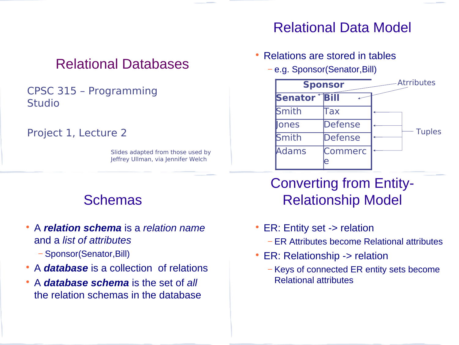## Relational Databases

#### CPSC 315 – Programming Studio

#### Project 1, Lecture 2

Slides adapted from those used by Jeffrey Ullman, via Jennifer Welch

#### Schemas

- A *relation schema* is a *relation name*  and a *list of attributes*
	- − Sponsor(Senator,Bill)
- A *database* is a collection of relations
- A *database schema* is the set of *all*  the relation schemas in the database

#### Relational Data Model

- Relations are stored in tables
	- − e.g. Sponsor(Senator,Bill)



## Converting from Entity-Relationship Model

- ER: Entity set -> relation
	- − ER Attributes become Relational attributes
- ER: Relationship -> relation
	- − Keys of connected ER entity sets become Relational attributes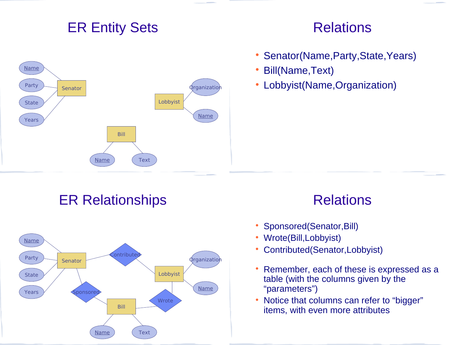### ER Entity Sets



#### Relations

- Senator(Name, Party, State, Years)
- Bill(Name,Text)
- Lobbyist(Name,Organization)

ER Relationships



### Relations

- Sponsored(Senator, Bill)
- Wrote(Bill,Lobbyist)
- Contributed(Senator,Lobbyist)
- Remember, each of these is expressed as a table (with the columns given by the "parameters")
- Notice that columns can refer to "bigger" items, with even more attributes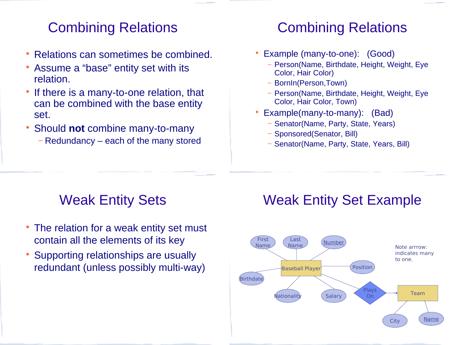## Combining Relations

- Relations can sometimes be combined.
- Assume a "base" entity set with its relation.
- If there is a many-to-one relation, that can be combined with the base entity set.
- Should **not** combine many-to-many
	- − Redundancy each of the many stored

# Combining Relations

- Example (many-to-one): (Good)
	- − Person(Name, Birthdate, Height, Weight, Eye Color, Hair Color)
	- − BornIn(Person,Town)
	- − Person(Name, Birthdate, Height, Weight, Eye Color, Hair Color, Town)
- Example(many-to-many): (Bad)
	- − Senator(Name, Party, State, Years)
	- − Sponsored(Senator, Bill)
	- − Senator(Name, Party, State, Years, Bill)

## Weak Entity Sets

- The relation for a weak entity set must contain all the elements of its key
- Supporting relationships are usually redundant (unless possibly multi-way)

## Weak Entity Set Example

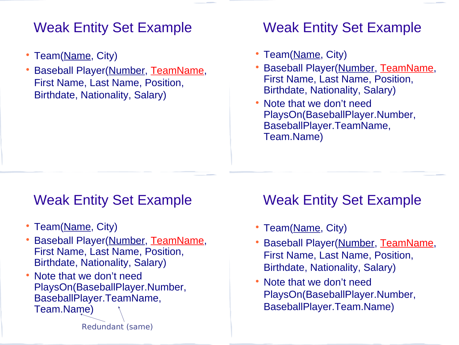### Weak Entity Set Example

- Team(Name, City)
- Baseball Player(Number, TeamName, First Name, Last Name, Position, Birthdate, Nationality, Salary)

#### Weak Entity Set Example

- Team(Name, City)
- Baseball Player(Number, TeamName, First Name, Last Name, Position, Birthdate, Nationality, Salary)
- Note that we don't need PlaysOn(BaseballPlayer.Number, BaseballPlayer.TeamName, Team.Name)

#### Weak Entity Set Example

- Team(Name, City)
- Baseball Player(Number, TeamName, First Name, Last Name, Position, Birthdate, Nationality, Salary)
- Note that we don't need PlaysOn(BaseballPlayer.Number, BaseballPlayer.TeamName, Team.Name)

#### Weak Entity Set Example

- Team(Name, City)
- Baseball Player(Number, TeamName, First Name, Last Name, Position, Birthdate, Nationality, Salary)
- Note that we don't need PlaysOn(BaseballPlayer.Number, BaseballPlayer.Team.Name)

Redundant (same)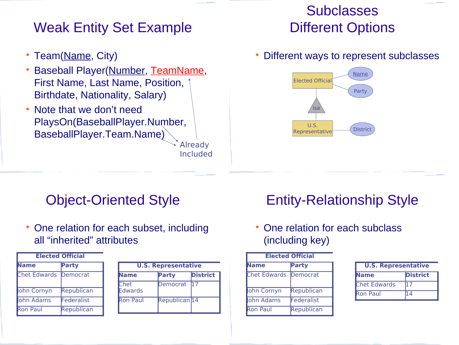## Weak Entity Set Example

- Team(Name, City)
- Baseball Player(Number, TeamName, First Name, Last Name, Position, Birthdate, Nationality, Salary)
- Note that we don't need PlaysOn(BaseballPlayer.Number, BaseballPlayer.Team.Name)

Already Included

## **Subclasses** Different Options

Different ways to represent subclasses



#### Object-Oriented Style

 One relation for each subset, including all "inherited" attributes

| <b>Elected Official</b> |            |  |  |
|-------------------------|------------|--|--|
| lame                    | Party      |  |  |
| <b>Chet Edwards</b>     | Democrat   |  |  |
| ohn Cornyn              | Republican |  |  |
| ohn Adams               | Federalist |  |  |
| Ron Paul                | Republican |  |  |

| <b>U.S. Representative</b> |                          |                 |  |
|----------------------------|--------------------------|-----------------|--|
| Name                       | Party                    | <b>District</b> |  |
| Chet<br>Edwards            | Democrat                 | 11 7            |  |
| <b>Ron Paul</b>            | Republican <sub>14</sub> |                 |  |

# Entity-Relationship Style

 One relation for each subclass (including key)

| <b>Elected Official</b> |              |  |  |
|-------------------------|--------------|--|--|
| lame                    | <b>Party</b> |  |  |
| <b>Chet Edwards</b>     | Democrat     |  |  |
| ohn Cornyn              | Republican   |  |  |
| ohn Adams               | Federalist   |  |  |
| Ron Paul                | Republican   |  |  |

| <b>U.S. Representative</b> |                 |  |  |
|----------------------------|-----------------|--|--|
| Name                       | <b>District</b> |  |  |
| <b>Chet Edwards</b>        |                 |  |  |
| <b>Ron Paul</b>            |                 |  |  |